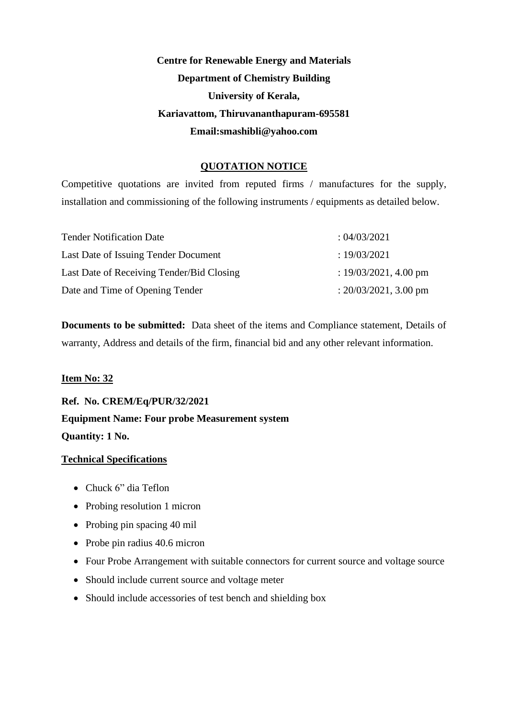# **Centre for Renewable Energy and Materials Department of Chemistry Building University of Kerala, Kariavattom, Thiruvananthapuram-695581 Email:smashibli@yahoo.com**

## **QUOTATION NOTICE**

Competitive quotations are invited from reputed firms / manufactures for the supply, installation and commissioning of the following instruments / equipments as detailed below.

| <b>Tender Notification Date</b>           | : 04/03/2021             |
|-------------------------------------------|--------------------------|
| Last Date of Issuing Tender Document      | : 19/03/2021             |
| Last Date of Receiving Tender/Bid Closing | : $19/03/2021$ , 4.00 pm |
| Date and Time of Opening Tender           | : $20/03/2021$ , 3.00 pm |

**Documents to be submitted:** Data sheet of the items and Compliance statement, Details of warranty, Address and details of the firm, financial bid and any other relevant information.

## **Item No: 32**

**Ref. No. CREM/Eq/PUR/32/2021 Equipment Name: Four probe Measurement system Quantity: 1 No.**

- Chuck 6" dia Teflon
- Probing resolution 1 micron
- Probing pin spacing 40 mil
- Probe pin radius 40.6 micron
- Four Probe Arrangement with suitable connectors for current source and voltage source
- Should include current source and voltage meter
- Should include accessories of test bench and shielding box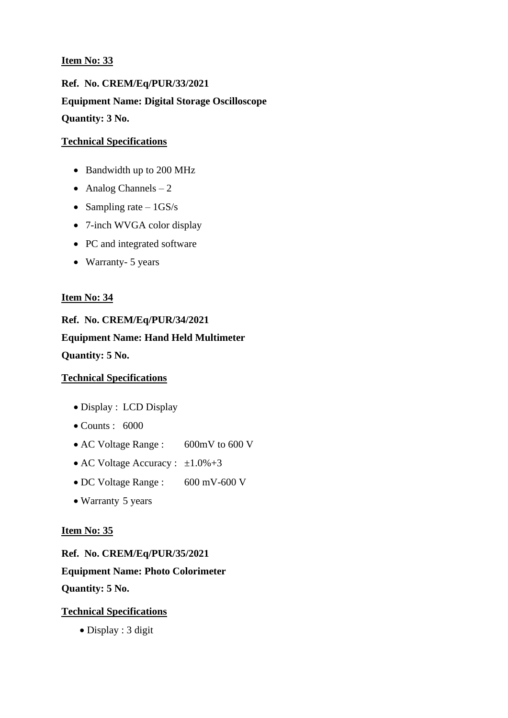**Ref. No. CREM/Eq/PUR/33/2021 Equipment Name: Digital Storage Oscilloscope Quantity: 3 No.**

## **Technical Specifications**

- Bandwidth up to 200 MHz
- Analog Channels  $-2$
- Sampling rate  $-1GS/s$
- 7-inch WVGA color display
- PC and integrated software
- Warranty- 5 years

## **Item No: 34**

**Ref. No. CREM/Eq/PUR/34/2021 Equipment Name: Hand Held Multimeter Quantity: 5 No.**

## **Technical Specifications**

- Display : LCD Display
- $\bullet$  Counts : 6000
- AC Voltage Range : 600mV to 600 V
- AC Voltage Accuracy :  $\pm 1.0\% + 3$
- DC Voltage Range : 600 mV-600 V
- Warranty 5 years

## **Item No: 35**

**Ref. No. CREM/Eq/PUR/35/2021** 

**Equipment Name: Photo Colorimeter Quantity: 5 No.**

## **Technical Specifications**

• Display : 3 digit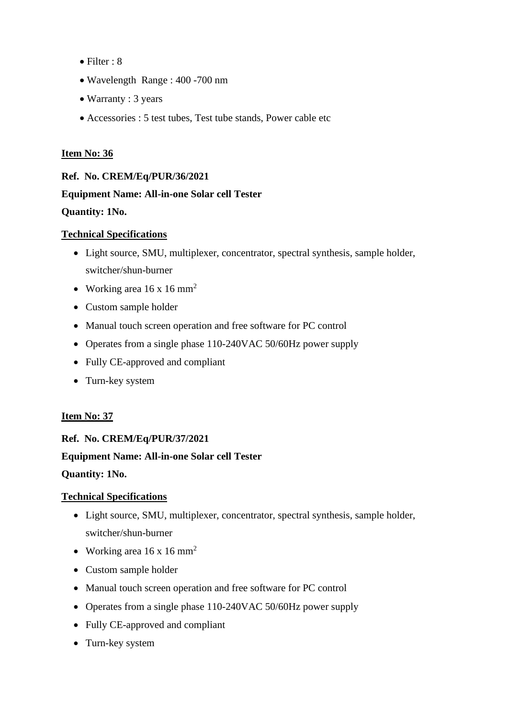- Filter : 8
- Wavelength Range : 400 -700 nm
- Warranty : 3 years
- Accessories : 5 test tubes, Test tube stands, Power cable etc

# **Ref. No. CREM/Eq/PUR/36/2021 Equipment Name: All-in-one Solar cell Tester**

## **Quantity: 1No.**

## **Technical Specifications**

- Light source, SMU, multiplexer, concentrator, spectral synthesis, sample holder, switcher/shun-burner
- Working area  $16 \times 16$  mm<sup>2</sup>
- Custom sample holder
- Manual touch screen operation and free software for PC control
- Operates from a single phase 110-240VAC 50/60Hz power supply
- Fully CE-approved and compliant
- Turn-key system

## **Item No: 37**

**Ref. No. CREM/Eq/PUR/37/2021 Equipment Name: All-in-one Solar cell Tester Quantity: 1No.**

- Light source, SMU, multiplexer, concentrator, spectral synthesis, sample holder, switcher/shun-burner
- Working area  $16 \times 16$  mm<sup>2</sup>
- Custom sample holder
- Manual touch screen operation and free software for PC control
- Operates from a single phase 110-240VAC 50/60Hz power supply
- Fully CE-approved and compliant
- Turn-key system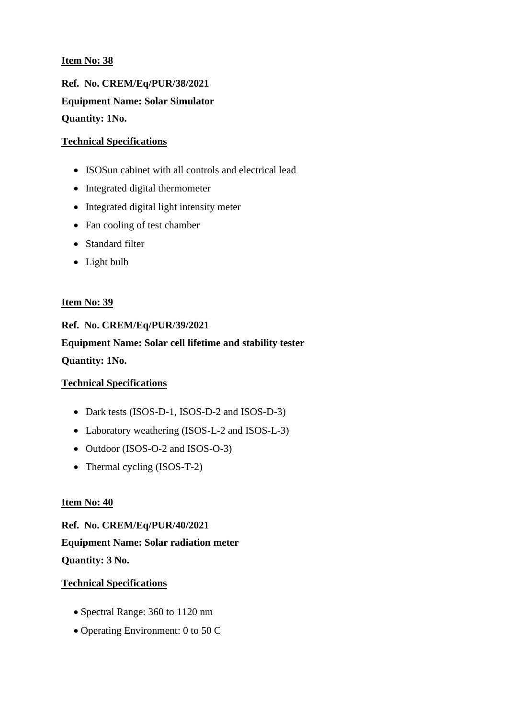**Ref. No. CREM/Eq/PUR/38/2021 Equipment Name: Solar Simulator Quantity: 1No.**

## **Technical Specifications**

- ISOSun cabinet with all controls and electrical lead
- Integrated digital thermometer
- Integrated digital light intensity meter
- Fan cooling of test chamber
- Standard filter
- Light bulb

## **Item No: 39**

**Ref. No. CREM/Eq/PUR/39/2021 Equipment Name: Solar cell lifetime and stability tester Quantity: 1No.**

## **Technical Specifications**

- Dark tests (ISOS-D-1, ISOS-D-2 and ISOS-D-3)
- Laboratory weathering (ISOS-L-2 and ISOS-L-3)
- Outdoor (ISOS-O-2 and ISOS-O-3)
- Thermal cycling (ISOS-T-2)

## **Item No: 40**

**Ref. No. CREM/Eq/PUR/40/2021 Equipment Name: Solar radiation meter Quantity: 3 No.**

- Spectral Range: 360 to 1120 nm
- Operating Environment: 0 to 50 C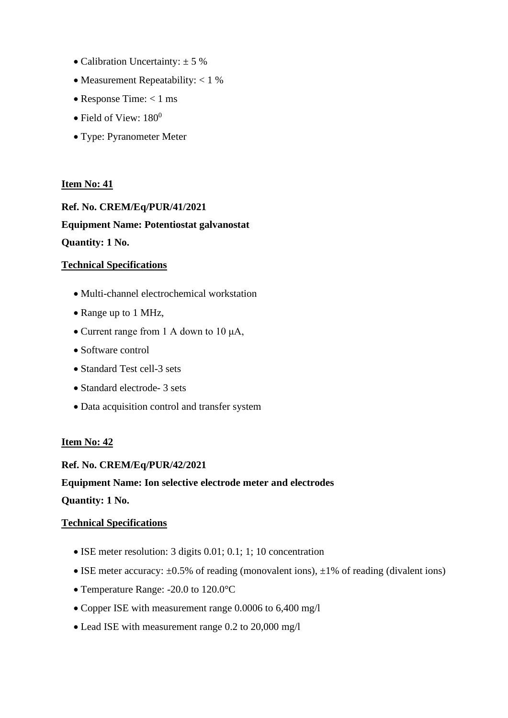- Calibration Uncertainty:  $\pm$  5 %
- Measurement Repeatability: < 1 %
- Response Time:  $< 1$  ms
- Field of View:  $180^0$
- Type: Pyranometer Meter

**Ref. No. CREM/Eq/PUR/41/2021 Equipment Name: Potentiostat galvanostat Quantity: 1 No.**

## **Technical Specifications**

- Multi-channel electrochemical workstation
- Range up to 1 MHz,
- Current range from 1 A down to 10 μA,
- Software control
- Standard Test cell-3 sets
- Standard electrode- 3 sets
- Data acquisition control and transfer system

## **Item No: 42**

**Ref. No. CREM/Eq/PUR/42/2021** 

## **Equipment Name: Ion selective electrode meter and electrodes**

**Quantity: 1 No.**

- ISE meter resolution: 3 digits 0.01; 0.1; 1; 10 concentration
- ISE meter accuracy:  $\pm 0.5\%$  of reading (monovalent ions),  $\pm 1\%$  of reading (divalent ions)
- Temperature Range: -20.0 to 120.0°C
- Copper ISE with measurement range 0.0006 to 6,400 mg/l
- Lead ISE with measurement range 0.2 to 20,000 mg/l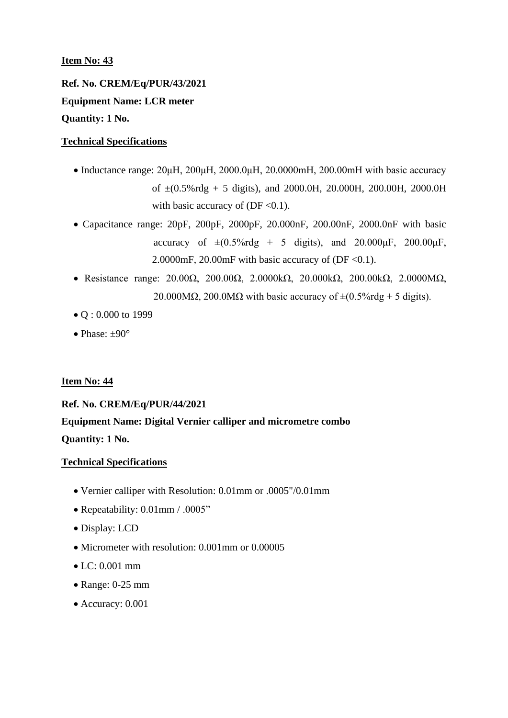**Ref. No. CREM/Eq/PUR/43/2021 Equipment Name: LCR meter Quantity: 1 No.**

## **Technical Specifications**

- Inductance range: 20μH, 200μH, 2000.0μH, 20.0000mH, 200.00mH with basic accuracy of ±(0.5%rdg + 5 digits), and 2000.0H, 20.000H, 200.00H, 2000.0H with basic accuracy of  $(DF < 0.1)$ .
- Capacitance range: 20pF, 200pF, 2000pF, 20.000nF, 200.00nF, 2000.0nF with basic accuracy of  $\pm (0.5\% \text{rdg} + 5 \text{ digits})$ , and  $20.000 \mu\text{F}$ ,  $200.00 \mu\text{F}$ , 2.0000mF, 20.00mF with basic accuracy of (DF <0.1).
- Resistance range: 20.00Ω, 200.00Ω, 2.0000kΩ, 20.000kΩ, 200.00kΩ, 2.0000MΩ, 20.000M $\Omega$ , 200.0M $\Omega$  with basic accuracy of  $\pm (0.5\% \text{rdg} + 5 \text{ digits}).$
- Q: 0.000 to 1999
- Phase:  $\pm 90^\circ$

## **Item No: 44**

## **Ref. No. CREM/Eq/PUR/44/2021**

**Equipment Name: Digital Vernier calliper and micrometre combo Quantity: 1 No.**

- Vernier calliper with Resolution: 0.01mm or .0005"/0.01mm
- Repeatability:  $0.01$ mm / .0005"
- Display: LCD
- Micrometer with resolution: 0.001 mm or 0.00005
- LC: 0.001 mm
- Range: 0-25 mm
- Accuracy: 0.001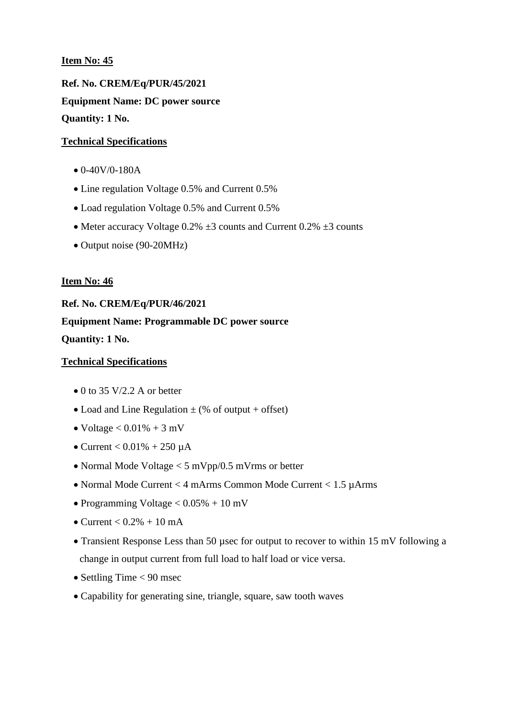**Ref. No. CREM/Eq/PUR/45/2021 Equipment Name: DC power source Quantity: 1 No.**

#### **Technical Specifications**

- $\bullet$  0-40V/0-180A
- Line regulation Voltage 0.5% and Current 0.5%
- Load regulation Voltage 0.5% and Current 0.5%
- Meter accuracy Voltage  $0.2\% \pm 3$  counts and Current  $0.2\% \pm 3$  counts
- Output noise (90-20MHz)

#### **Item No: 46**

**Ref. No. CREM/Eq/PUR/46/2021 Equipment Name: Programmable DC power source Quantity: 1 No.**

- $\bullet$  0 to 35 V/2.2 A or better
- Load and Line Regulation  $\pm$  (% of output + offset)
- Voltage  $< 0.01\% + 3$  mV
- Current  $< 0.01\% + 250 \mu A$
- Normal Mode Voltage < 5 mVpp/0.5 mVrms or better
- Normal Mode Current < 4 mArms Common Mode Current < 1.5 µArms
- Programming Voltage  $< 0.05\% + 10$  mV
- Current  $< 0.2\% + 10$  mA
- Transient Response Less than 50 µsec for output to recover to within 15 mV following a change in output current from full load to half load or vice versa.
- Settling Time < 90 msec
- Capability for generating sine, triangle, square, saw tooth waves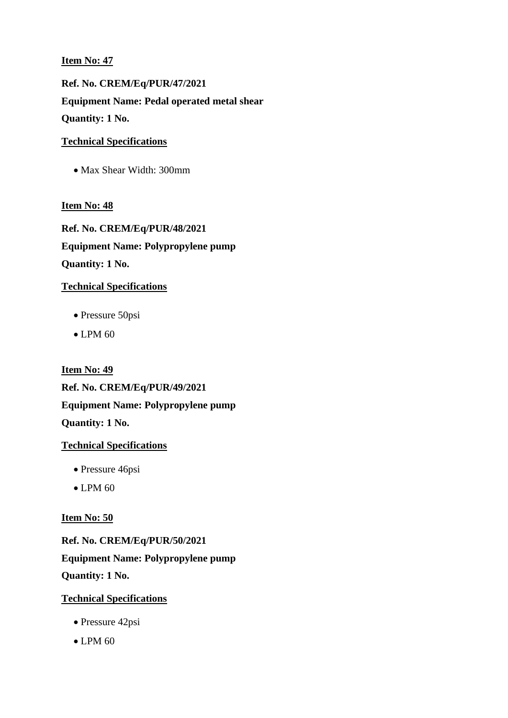**Ref. No. CREM/Eq/PUR/47/2021 Equipment Name: Pedal operated metal shear Quantity: 1 No.**

## **Technical Specifications**

• Max Shear Width: 300mm

## **Item No: 48**

**Ref. No. CREM/Eq/PUR/48/2021 Equipment Name: Polypropylene pump Quantity: 1 No.**

## **Technical Specifications**

- Pressure 50psi
- LPM 60

**Item No: 49 Ref. No. CREM/Eq/PUR/49/2021 Equipment Name: Polypropylene pump Quantity: 1 No.**

## **Technical Specifications**

- Pressure 46psi
- $\bullet$  LPM 60

## **Item No: 50**

**Ref. No. CREM/Eq/PUR/50/2021 Equipment Name: Polypropylene pump Quantity: 1 No.**

- Pressure 42psi
- $\bullet$  LPM 60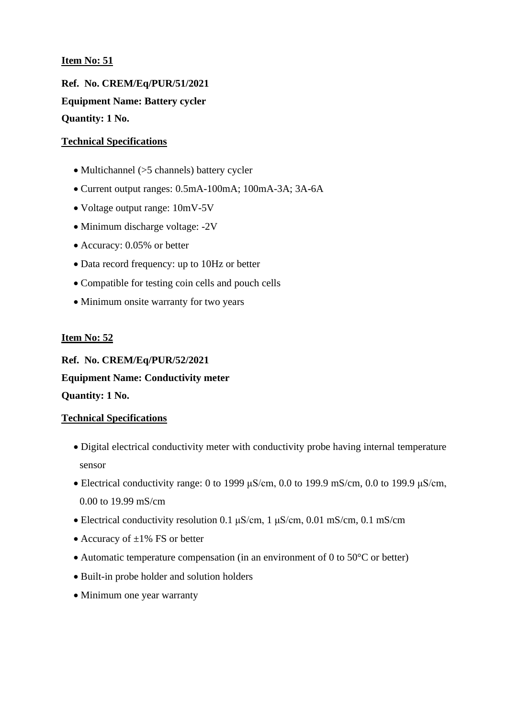**Ref. No. CREM/Eq/PUR/51/2021 Equipment Name: Battery cycler Quantity: 1 No.**

## **Technical Specifications**

- Multichannel (>5 channels) battery cycler
- Current output ranges: 0.5mA-100mA; 100mA-3A; 3A-6A
- Voltage output range: 10mV-5V
- Minimum discharge voltage: -2V
- Accuracy: 0.05% or better
- Data record frequency: up to 10Hz or better
- Compatible for testing coin cells and pouch cells
- Minimum onsite warranty for two years

## **Item No: 52**

**Ref. No. CREM/Eq/PUR/52/2021 Equipment Name: Conductivity meter Quantity: 1 No.**

- Digital electrical conductivity meter with conductivity probe having internal temperature sensor
- Electrical conductivity range: 0 to 1999  $\mu$ S/cm, 0.0 to 199.9 mS/cm, 0.0 to 199.9  $\mu$ S/cm, 0.00 to 19.99 mS/cm
- Electrical conductivity resolution 0.1  $\mu$ S/cm, 1  $\mu$ S/cm, 0.01 mS/cm, 0.1 mS/cm
- Accuracy of  $\pm 1\%$  FS or better
- Automatic temperature compensation (in an environment of 0 to 50°C or better)
- Built-in probe holder and solution holders
- Minimum one year warranty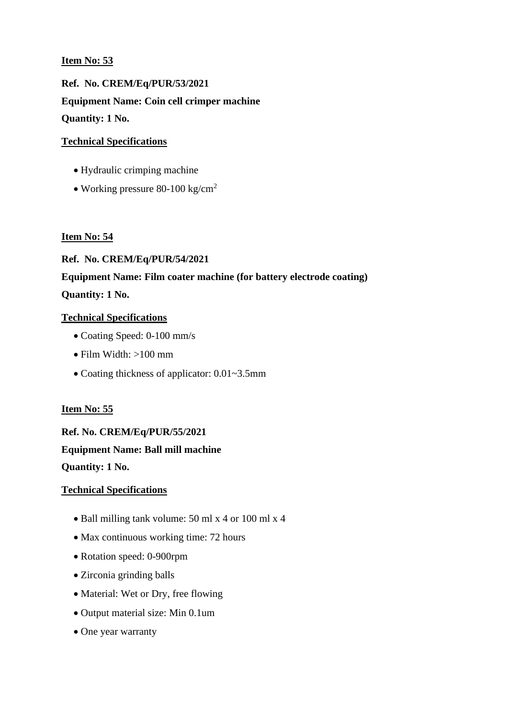**Ref. No. CREM/Eq/PUR/53/2021 Equipment Name: Coin cell crimper machine Quantity: 1 No.**

## **Technical Specifications**

- Hydraulic crimping machine
- Working pressure 80-100 kg/cm<sup>2</sup>

## **Item No: 54**

## **Ref. No. CREM/Eq/PUR/54/2021**

# **Equipment Name: Film coater machine (for battery electrode coating) Quantity: 1 No.**

## **Technical Specifications**

- Coating Speed: 0-100 mm/s
- Film Width: >100 mm
- Coating thickness of applicator: 0.01~3.5mm

## **Item No: 55**

**Ref. No. CREM/Eq/PUR/55/2021 Equipment Name: Ball mill machine Quantity: 1 No.**

- Ball milling tank volume: 50 ml x 4 or 100 ml x 4
- Max continuous working time: 72 hours
- Rotation speed: 0-900rpm
- Zirconia grinding balls
- Material: Wet or Dry, free flowing
- Output material size: Min 0.1um
- One year warranty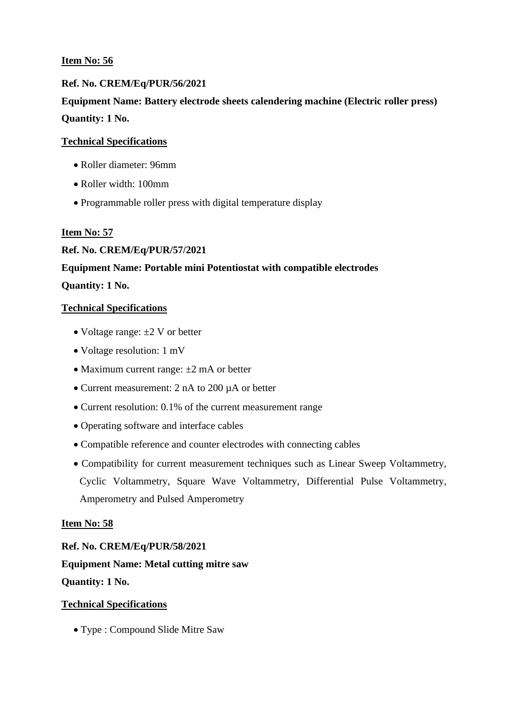## **Ref. No. CREM/Eq/PUR/56/2021**

**Equipment Name: Battery electrode sheets calendering machine (Electric roller press) Quantity: 1 No.**

## **Technical Specifications**

- Roller diameter: 96mm
- Roller width: 100mm
- Programmable roller press with digital temperature display

## **Item No: 57**

## **Ref. No. CREM/Eq/PUR/57/2021**

## **Equipment Name: Portable mini Potentiostat with compatible electrodes**

## **Quantity: 1 No.**

## **Technical Specifications**

- Voltage range:  $\pm 2$  V or better
- Voltage resolution: 1 mV
- Maximum current range:  $\pm 2$  mA or better
- Current measurement: 2 nA to 200 µA or better
- Current resolution: 0.1% of the current measurement range
- Operating software and interface cables
- Compatible reference and counter electrodes with connecting cables
- Compatibility for current measurement techniques such as Linear Sweep Voltammetry, Cyclic Voltammetry, Square Wave Voltammetry, Differential Pulse Voltammetry, Amperometry and Pulsed Amperometry

## **Item No: 58**

**Ref. No. CREM/Eq/PUR/58/2021 Equipment Name: Metal cutting mitre saw Quantity: 1 No.**

#### **Technical Specifications**

• Type : Compound Slide Mitre Saw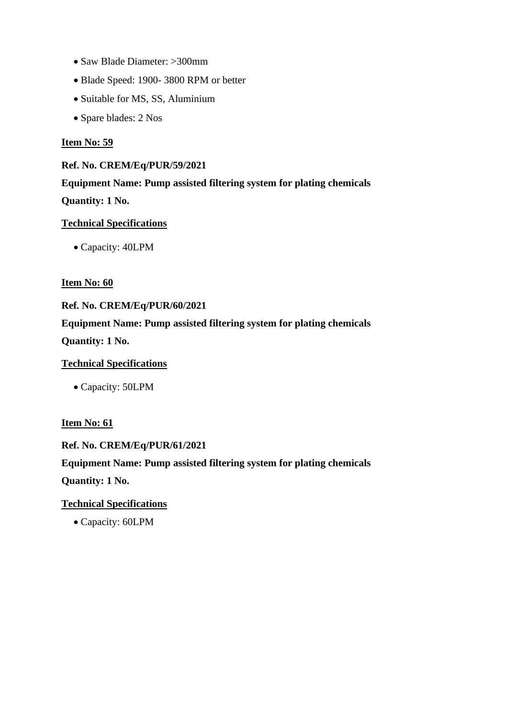- Saw Blade Diameter: >300mm
- Blade Speed: 1900- 3800 RPM or better
- Suitable for MS, SS, Aluminium
- Spare blades: 2 Nos

#### **Ref. No. CREM/Eq/PUR/59/2021**

**Equipment Name: Pump assisted filtering system for plating chemicals Quantity: 1 No.**

## **Technical Specifications**

• Capacity: 40LPM

## **Item No: 60**

## **Ref. No. CREM/Eq/PUR/60/2021**

**Equipment Name: Pump assisted filtering system for plating chemicals Quantity: 1 No.**

## **Technical Specifications**

• Capacity: 50LPM

#### **Item No: 61**

#### **Ref. No. CREM/Eq/PUR/61/2021**

**Equipment Name: Pump assisted filtering system for plating chemicals Quantity: 1 No.**

## **Technical Specifications**

• Capacity: 60LPM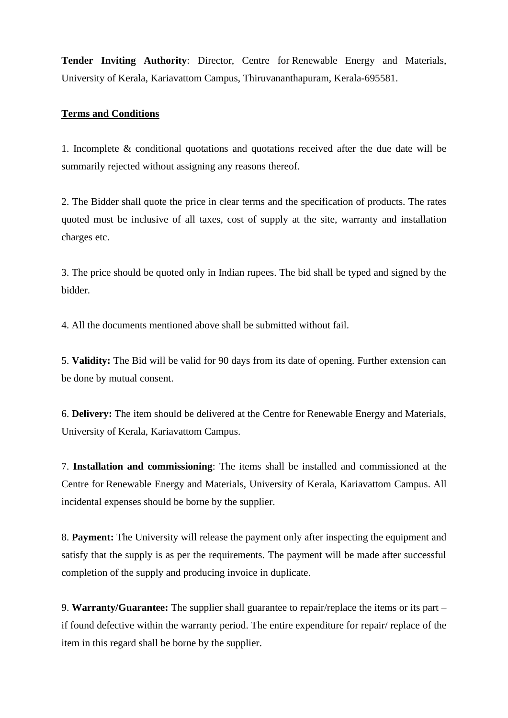**Tender Inviting Authority**: Director, Centre for Renewable Energy and Materials, University of Kerala, Kariavattom Campus, Thiruvananthapuram, Kerala-695581.

#### **Terms and Conditions**

1. Incomplete & conditional quotations and quotations received after the due date will be summarily rejected without assigning any reasons thereof.

2. The Bidder shall quote the price in clear terms and the specification of products. The rates quoted must be inclusive of all taxes, cost of supply at the site, warranty and installation charges etc.

3. The price should be quoted only in Indian rupees. The bid shall be typed and signed by the bidder.

4. All the documents mentioned above shall be submitted without fail.

5. **Validity:** The Bid will be valid for 90 days from its date of opening. Further extension can be done by mutual consent.

6. **Delivery:** The item should be delivered at the Centre for Renewable Energy and Materials, University of Kerala, Kariavattom Campus.

7. **Installation and commissioning**: The items shall be installed and commissioned at the Centre for Renewable Energy and Materials, University of Kerala, Kariavattom Campus. All incidental expenses should be borne by the supplier.

8. **Payment:** The University will release the payment only after inspecting the equipment and satisfy that the supply is as per the requirements. The payment will be made after successful completion of the supply and producing invoice in duplicate.

9. **Warranty/Guarantee:** The supplier shall guarantee to repair/replace the items or its part – if found defective within the warranty period. The entire expenditure for repair/ replace of the item in this regard shall be borne by the supplier.